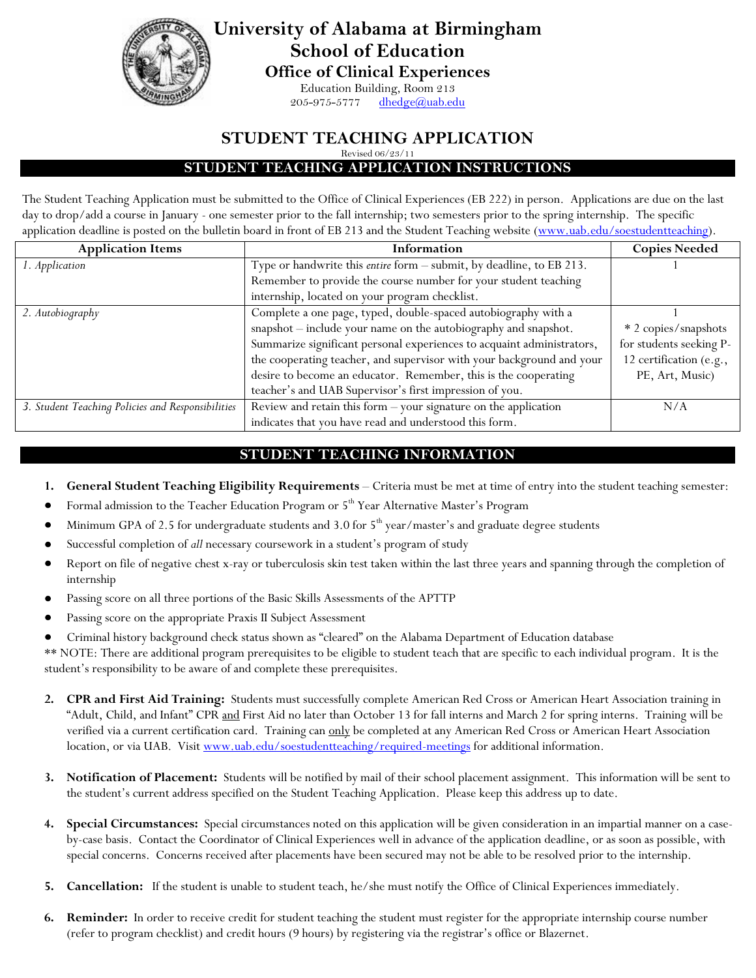

**University of Alabama at Birmingham School of Education Office of Clinical Experiences**

Education Building, Room 213

 $205 - 975 - 5777$  [dhedge@uab.edu](mailto:dhedge@uab.edu)

# **STUDENT TEACHING APPLICATION**

Revised 06/23/11

**STUDENT TEACHING APPLICATION INSTRUCTIONS**

The Student Teaching Application must be submitted to the Office of Clinical Experiences (EB 222) in person. Applications are due on the last day to drop/add a course in January - one semester prior to the fall internship; two semesters prior to the spring internship. The specific application deadline is posted on the bulletin board in front of EB 213 and the Student Teaching website [\(www.uab.edu/soestudentteaching\)](http://www.uab.edu/soestudentteaching).

| <b>Application Items</b>                          | Information                                                            | <b>Copies Needed</b>    |
|---------------------------------------------------|------------------------------------------------------------------------|-------------------------|
| 1. Application                                    | Type or handwrite this entire form - submit, by deadline, to EB 213.   |                         |
|                                                   | Remember to provide the course number for your student teaching        |                         |
|                                                   | internship, located on your program checklist.                         |                         |
| 2. Autobiography                                  | Complete a one page, typed, double-spaced autobiography with a         |                         |
|                                                   | snapshot - include your name on the autobiography and snapshot.        | * 2 copies/snapshots    |
|                                                   | Summarize significant personal experiences to acquaint administrators, | for students seeking P- |
|                                                   | the cooperating teacher, and supervisor with your background and your  | 12 certification (e.g., |
|                                                   | desire to become an educator. Remember, this is the cooperating        | PE, Art, Music)         |
|                                                   | teacher's and UAB Supervisor's first impression of you.                |                         |
| 3. Student Teaching Policies and Responsibilities | Review and retain this form - your signature on the application        | N/A                     |
|                                                   | indicates that you have read and understood this form.                 |                         |

### **STUDENT TEACHING INFORMATION**

- **1. General Student Teaching Eligibility Requirements** Criteria must be met at time of entry into the student teaching semester:
- Formal admission to the Teacher Education Program or 5<sup>th</sup> Year Alternative Master's Program
- Minimum GPA of 2.5 for undergraduate students and 3.0 for  $5<sup>th</sup>$  year/master's and graduate degree students
- Successful completion of *all* necessary coursework in a student's program of study
- Report on file of negative chest x-ray or tuberculosis skin test taken within the last three years and spanning through the completion of internship
- Passing score on all three portions of the Basic Skills Assessments of the APTTP
- Passing score on the appropriate Praxis II Subject Assessment
- Criminal history background check status shown as "cleared" on the Alabama Department of Education database

\*\* NOTE: There are additional program prerequisites to be eligible to student teach that are specific to each individual program. It is the student's responsibility to be aware of and complete these prerequisites.

- **2. CPR and First Aid Training:** Students must successfully complete American Red Cross or American Heart Association training in "Adult, Child, and Infant" CPR and First Aid no later than October 13 for fall interns and March 2 for spring interns. Training will be verified via a current certification card. Training can only be completed at any American Red Cross or American Heart Association location, or via UAB. Visi[t www.uab.edu/soestudentteaching/required-meetings](http://www.uab.edu/soestudentteaching/required-meetings) for additional information.
- **3. Notification of Placement:** Students will be notified by mail of their school placement assignment. This information will be sent to the student's current address specified on the Student Teaching Application. Please keep this address up to date.
- **4. Special Circumstances:** Special circumstances noted on this application will be given consideration in an impartial manner on a caseby-case basis. Contact the Coordinator of Clinical Experiences well in advance of the application deadline, or as soon as possible, with special concerns. Concerns received after placements have been secured may not be able to be resolved prior to the internship.
- **5. Cancellation:** If the student is unable to student teach, he/she must notify the Office of Clinical Experiences immediately.
- **6. Reminder:** In order to receive credit for student teaching the student must register for the appropriate internship course number (refer to program checklist) and credit hours (9 hours) by registering via the registrar's office or Blazernet.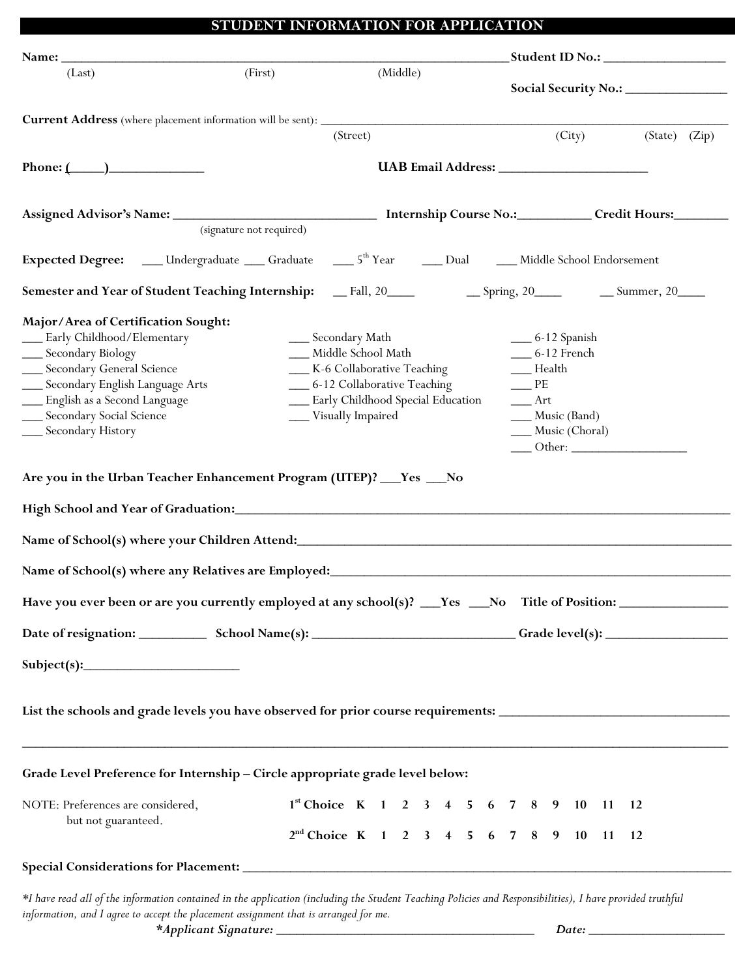| (Last)                                                                                                                                                                                                                                                                                                                                                                             | (First)                  |                                                                             | (Middle) |                                                                    |                                                                                                                                                                                                                                                                                                                                                                                | Social Security No.: ______________                                                       |  |
|------------------------------------------------------------------------------------------------------------------------------------------------------------------------------------------------------------------------------------------------------------------------------------------------------------------------------------------------------------------------------------|--------------------------|-----------------------------------------------------------------------------|----------|--------------------------------------------------------------------|--------------------------------------------------------------------------------------------------------------------------------------------------------------------------------------------------------------------------------------------------------------------------------------------------------------------------------------------------------------------------------|-------------------------------------------------------------------------------------------|--|
|                                                                                                                                                                                                                                                                                                                                                                                    |                          |                                                                             |          |                                                                    |                                                                                                                                                                                                                                                                                                                                                                                |                                                                                           |  |
|                                                                                                                                                                                                                                                                                                                                                                                    |                          |                                                                             | (Street) |                                                                    |                                                                                                                                                                                                                                                                                                                                                                                | (City) (State) (Zip)                                                                      |  |
| Phone: $(\_\_)$                                                                                                                                                                                                                                                                                                                                                                    |                          |                                                                             |          |                                                                    |                                                                                                                                                                                                                                                                                                                                                                                |                                                                                           |  |
| Assigned Advisor's Name: _________________________________ Internship Course No.:__________ Credit Hours:________                                                                                                                                                                                                                                                                  |                          |                                                                             |          |                                                                    |                                                                                                                                                                                                                                                                                                                                                                                |                                                                                           |  |
|                                                                                                                                                                                                                                                                                                                                                                                    | (signature not required) |                                                                             |          |                                                                    |                                                                                                                                                                                                                                                                                                                                                                                |                                                                                           |  |
| Expected Degree: ____ Undergraduate ____ Graduate ____ 5 <sup>th</sup> Year _____ Dual _____ Middle School Endorsement                                                                                                                                                                                                                                                             |                          |                                                                             |          |                                                                    |                                                                                                                                                                                                                                                                                                                                                                                |                                                                                           |  |
|                                                                                                                                                                                                                                                                                                                                                                                    |                          |                                                                             |          |                                                                    |                                                                                                                                                                                                                                                                                                                                                                                |                                                                                           |  |
| __ Early Childhood/Elementary<br>__ Secondary Biology<br>__ Secondary General Science<br>__ Secondary English Language Arts<br>__ English as a Second Language                                                                                                                                                                                                                     |                          | __ Secondary Math<br>___ Middle School Math<br>_6-12 Collaborative Teaching |          | K-6 Collaborative Teaching<br>__ Early Childhood Special Education | $\_\_6$ -12 Spanish<br>$-6-12$ French<br>$\rule{1em}{0.15mm} \begin{tabular}{ c c } \hline \quad \quad & \quad \quad & \quad \quad & \quad \quad \\ \hline \quad \quad & \quad \quad & \quad \quad \\ \hline \end{tabular} \vspace{-0.08cm} \begin{tabular}{ c c c } \hline \quad \quad & \quad \quad \\ \hline \end{tabular}$<br>$\equiv$ PE<br>$r =$ Art<br>___ Music (Band) |                                                                                           |  |
|                                                                                                                                                                                                                                                                                                                                                                                    |                          | ____ Visually Impaired                                                      |          |                                                                    | ___ Music (Choral)                                                                                                                                                                                                                                                                                                                                                             | $\frac{1}{\sqrt{1-\frac{1}{2}}}\text{Other:}\frac{1}{\sqrt{1-\frac{1}{2}}}\text{ with }1$ |  |
|                                                                                                                                                                                                                                                                                                                                                                                    |                          |                                                                             |          |                                                                    |                                                                                                                                                                                                                                                                                                                                                                                |                                                                                           |  |
|                                                                                                                                                                                                                                                                                                                                                                                    |                          |                                                                             |          |                                                                    |                                                                                                                                                                                                                                                                                                                                                                                |                                                                                           |  |
|                                                                                                                                                                                                                                                                                                                                                                                    |                          |                                                                             |          |                                                                    |                                                                                                                                                                                                                                                                                                                                                                                |                                                                                           |  |
| __ Secondary Social Science<br>__ Secondary History<br>Are you in the Urban Teacher Enhancement Program (UTEP)? ___ Yes ___ No<br>High School and Year of Graduation: Manual Communication of Graduation:<br>Name of School(s) where any Relatives are Employed:<br>Have you ever been or are you currently employed at any school(s)? __Yes __No Title of Position: _____________ |                          |                                                                             |          |                                                                    |                                                                                                                                                                                                                                                                                                                                                                                |                                                                                           |  |
|                                                                                                                                                                                                                                                                                                                                                                                    |                          |                                                                             |          |                                                                    |                                                                                                                                                                                                                                                                                                                                                                                |                                                                                           |  |
| Subject(s):                                                                                                                                                                                                                                                                                                                                                                        |                          |                                                                             |          |                                                                    |                                                                                                                                                                                                                                                                                                                                                                                |                                                                                           |  |
| List the schools and grade levels you have observed for prior course requirements: ___________________________                                                                                                                                                                                                                                                                     |                          |                                                                             |          |                                                                    |                                                                                                                                                                                                                                                                                                                                                                                |                                                                                           |  |
|                                                                                                                                                                                                                                                                                                                                                                                    |                          |                                                                             |          |                                                                    |                                                                                                                                                                                                                                                                                                                                                                                |                                                                                           |  |
| Grade Level Preference for Internship - Circle appropriate grade level below:<br>NOTE: Preferences are considered,<br>but not guaranteed.                                                                                                                                                                                                                                          |                          |                                                                             |          |                                                                    | $1^{\text{st}}$ Choice K 1 2 3 4 5 6 7 8 9 10 11 12                                                                                                                                                                                                                                                                                                                            |                                                                                           |  |
|                                                                                                                                                                                                                                                                                                                                                                                    |                          |                                                                             |          |                                                                    | $2^{nd}$ Choice K 1 2 3 4 5 6 7 8 9 10 11 12                                                                                                                                                                                                                                                                                                                                   |                                                                                           |  |

*information, and I agree to accept the placement assignment that is arranged for me. \*Applicant Signature: \_\_\_\_\_\_\_\_\_\_\_\_\_\_\_\_\_\_\_\_\_\_\_\_\_\_\_\_\_\_\_\_\_\_\_\_\_\_ Date: \_\_\_\_\_\_\_\_\_\_\_\_\_\_\_\_\_\_\_\_*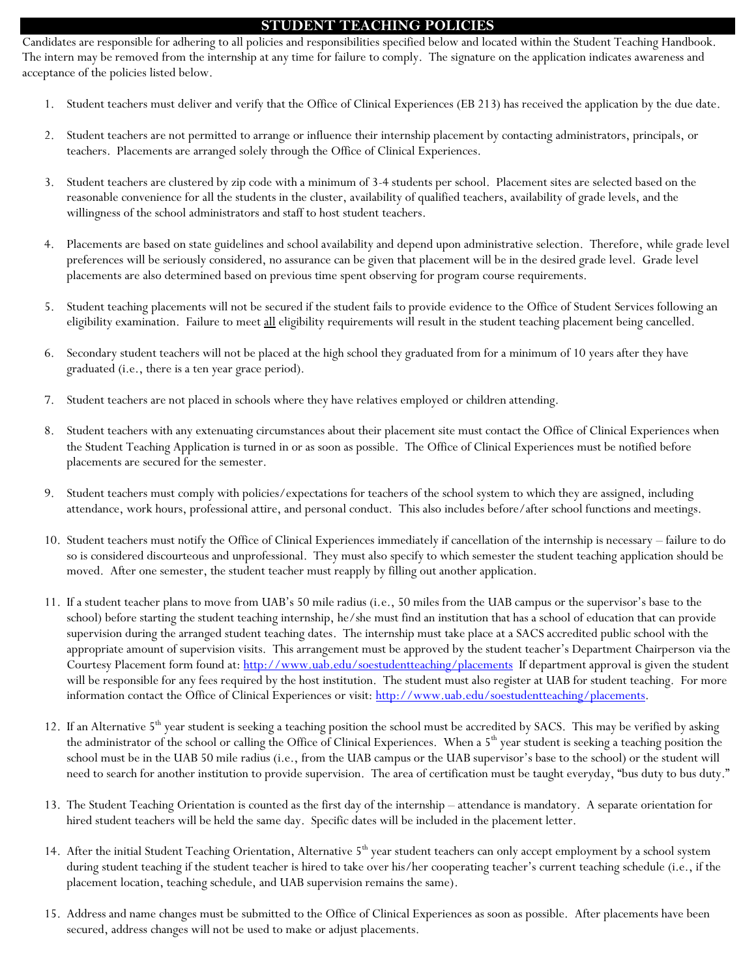#### **STUDENT TEACHING POLICIES**

Candidates are responsible for adhering to all policies and responsibilities specified below and located within the Student Teaching Handbook. The intern may be removed from the internship at any time for failure to comply. The signature on the application indicates awareness and acceptance of the policies listed below.

- 1. Student teachers must deliver and verify that the Office of Clinical Experiences (EB 213) has received the application by the due date.
- 2. Student teachers are not permitted to arrange or influence their internship placement by contacting administrators, principals, or teachers. Placements are arranged solely through the Office of Clinical Experiences.
- 3. Student teachers are clustered by zip code with a minimum of 3-4 students per school. Placement sites are selected based on the reasonable convenience for all the students in the cluster, availability of qualified teachers, availability of grade levels, and the willingness of the school administrators and staff to host student teachers.
- 4. Placements are based on state guidelines and school availability and depend upon administrative selection. Therefore, while grade level preferences will be seriously considered, no assurance can be given that placement will be in the desired grade level. Grade level placements are also determined based on previous time spent observing for program course requirements.
- 5. Student teaching placements will not be secured if the student fails to provide evidence to the Office of Student Services following an eligibility examination. Failure to meet all eligibility requirements will result in the student teaching placement being cancelled.
- 6. Secondary student teachers will not be placed at the high school they graduated from for a minimum of 10 years after they have graduated (i.e., there is a ten year grace period).
- 7. Student teachers are not placed in schools where they have relatives employed or children attending.
- 8. Student teachers with any extenuating circumstances about their placement site must contact the Office of Clinical Experiences when the Student Teaching Application is turned in or as soon as possible. The Office of Clinical Experiences must be notified before placements are secured for the semester.
- 9. Student teachers must comply with policies/expectations for teachers of the school system to which they are assigned, including attendance, work hours, professional attire, and personal conduct. This also includes before/after school functions and meetings.
- 10. Student teachers must notify the Office of Clinical Experiences immediately if cancellation of the internship is necessary failure to do so is considered discourteous and unprofessional. They must also specify to which semester the student teaching application should be moved. After one semester, the student teacher must reapply by filling out another application.
- 11. If a student teacher plans to move from UAB's 50 mile radius (i.e., 50 miles from the UAB campus or the supervisor's base to the school) before starting the student teaching internship, he/she must find an institution that has a school of education that can provide supervision during the arranged student teaching dates. The internship must take place at a SACS accredited public school with the appropriate amount of supervision visits. This arrangement must be approved by the student teacher's Department Chairperson via the Courtesy Placement form found at:<http://www.uab.edu/soestudentteaching/placements>If department approval is given the student will be responsible for any fees required by the host institution. The student must also register at UAB for student teaching. For more information contact the Office of Clinical Experiences or visit: [http://www.uab.edu/soestudentteaching/placements.](http://www.uab.edu/soestudentteaching/placements)
- 12. If an Alternative  $5<sup>th</sup>$  year student is seeking a teaching position the school must be accredited by SACS. This may be verified by asking the administrator of the school or calling the Office of Clinical Experiences. When a 5<sup>th</sup> year student is seeking a teaching position the school must be in the UAB 50 mile radius (i.e., from the UAB campus or the UAB supervisor's base to the school) or the student will need to search for another institution to provide supervision. The area of certification must be taught everyday, "bus duty to bus duty."
- 13. The Student Teaching Orientation is counted as the first day of the internship attendance is mandatory. A separate orientation for hired student teachers will be held the same day. Specific dates will be included in the placement letter.
- 14. After the initial Student Teaching Orientation, Alternative 5<sup>th</sup> year student teachers can only accept employment by a school system during student teaching if the student teacher is hired to take over his/her cooperating teacher's current teaching schedule (i.e., if the placement location, teaching schedule, and UAB supervision remains the same).
- 15. Address and name changes must be submitted to the Office of Clinical Experiences as soon as possible. After placements have been secured, address changes will not be used to make or adjust placements.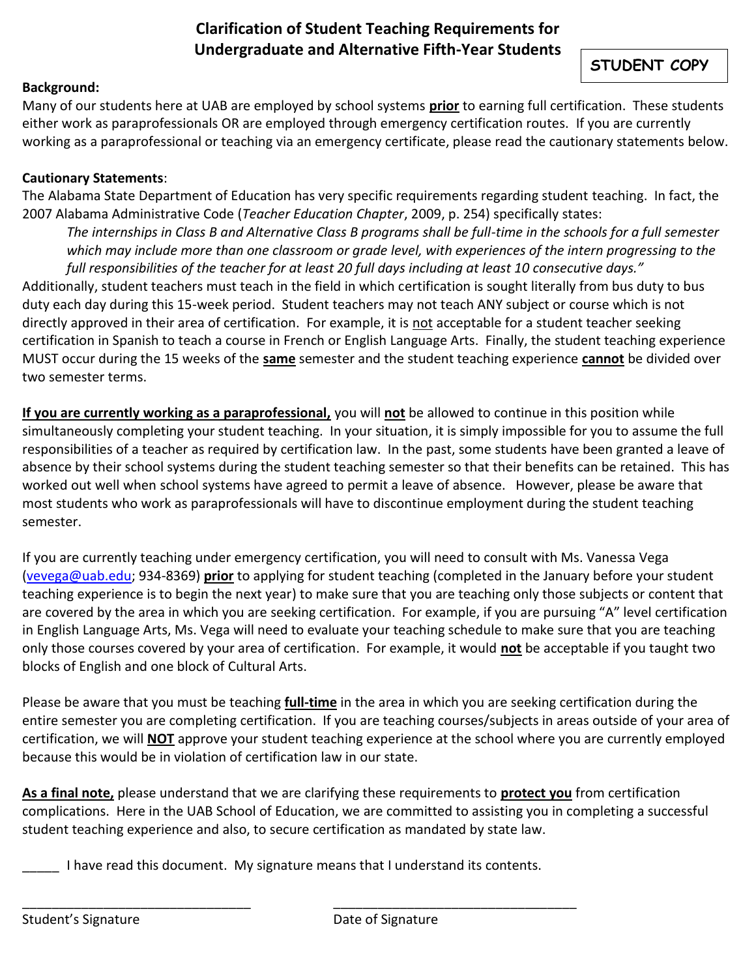# **Clarification of Student Teaching Requirements for Undergraduate and Alternative Fifth-Year Students**

# **STUDENT COPY**

# **Background:**

Many of our students here at UAB are employed by school systems **prior** to earning full certification. These students either work as paraprofessionals OR are employed through emergency certification routes. If you are currently working as a paraprofessional or teaching via an emergency certificate, please read the cautionary statements below.

#### **Cautionary Statements**:

The Alabama State Department of Education has very specific requirements regarding student teaching. In fact, the 2007 Alabama Administrative Code (*Teacher Education Chapter*, 2009, p. 254) specifically states:

*The internships in Class B and Alternative Class B programs shall be full-time in the schools for a full semester which may include more than one classroom or grade level, with experiences of the intern progressing to the full responsibilities of the teacher for at least 20 full days including at least 10 consecutive days."* Additionally, student teachers must teach in the field in which certification is sought literally from bus duty to bus duty each day during this 15-week period. Student teachers may not teach ANY subject or course which is not directly approved in their area of certification. For example, it is not acceptable for a student teacher seeking certification in Spanish to teach a course in French or English Language Arts. Finally, the student teaching experience MUST occur during the 15 weeks of the **same** semester and the student teaching experience **cannot** be divided over two semester terms.

**If you are currently working as a paraprofessional,** you will **not** be allowed to continue in this position while simultaneously completing your student teaching. In your situation, it is simply impossible for you to assume the full responsibilities of a teacher as required by certification law. In the past, some students have been granted a leave of absence by their school systems during the student teaching semester so that their benefits can be retained. This has worked out well when school systems have agreed to permit a leave of absence. However, please be aware that most students who work as paraprofessionals will have to discontinue employment during the student teaching semester.

If you are currently teaching under emergency certification, you will need to consult with Ms. Vanessa Vega [\(vevega@uab.edu;](mailto:vevega@uab.edu) 934-8369) **prior** to applying for student teaching (completed in the January before your student teaching experience is to begin the next year) to make sure that you are teaching only those subjects or content that are covered by the area in which you are seeking certification. For example, if you are pursuing "A" level certification in English Language Arts, Ms. Vega will need to evaluate your teaching schedule to make sure that you are teaching only those courses covered by your area of certification. For example, it would **not** be acceptable if you taught two blocks of English and one block of Cultural Arts.

Please be aware that you must be teaching **full-time** in the area in which you are seeking certification during the entire semester you are completing certification. If you are teaching courses/subjects in areas outside of your area of certification, we will **NOT** approve your student teaching experience at the school where you are currently employed because this would be in violation of certification law in our state.

**As a final note,** please understand that we are clarifying these requirements to **protect you** from certification complications. Here in the UAB School of Education, we are committed to assisting you in completing a successful student teaching experience and also, to secure certification as mandated by state law.

I have read this document. My signature means that I understand its contents.

\_\_\_\_\_\_\_\_\_\_\_\_\_\_\_\_\_\_\_\_\_\_\_\_\_\_\_\_\_\_\_ \_\_\_\_\_\_\_\_\_\_\_\_\_\_\_\_\_\_\_\_\_\_\_\_\_\_\_\_\_\_\_\_\_